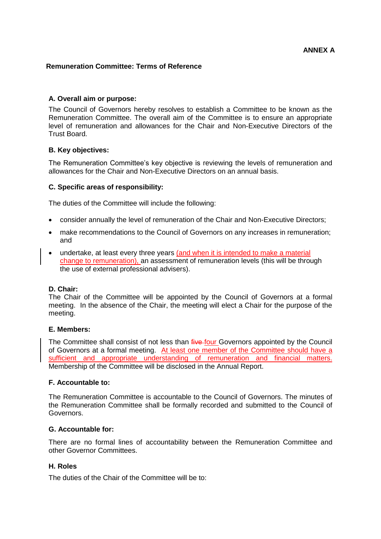# **Remuneration Committee: Terms of Reference**

# **A. Overall aim or purpose:**

The Council of Governors hereby resolves to establish a Committee to be known as the Remuneration Committee. The overall aim of the Committee is to ensure an appropriate level of remuneration and allowances for the Chair and Non-Executive Directors of the Trust Board.

## **B. Key objectives:**

The Remuneration Committee's key objective is reviewing the levels of remuneration and allowances for the Chair and Non-Executive Directors on an annual basis.

## **C. Specific areas of responsibility:**

The duties of the Committee will include the following:

- consider annually the level of remuneration of the Chair and Non-Executive Directors;
- make recommendations to the Council of Governors on any increases in remuneration; and
- undertake, at least every three years (and when it is intended to make a material change to remuneration), an assessment of remuneration levels (this will be through the use of external professional advisers).

### **D. Chair:**

The Chair of the Committee will be appointed by the Council of Governors at a formal meeting. In the absence of the Chair, the meeting will elect a Chair for the purpose of the meeting.

### **E. Members:**

The Committee shall consist of not less than *five four* Governors appointed by the Council of Governors at a formal meeting. At least one member of the Committee should have a sufficient and appropriate understanding of remuneration and financial matters. Membership of the Committee will be disclosed in the Annual Report.

### **F. Accountable to:**

The Remuneration Committee is accountable to the Council of Governors. The minutes of the Remuneration Committee shall be formally recorded and submitted to the Council of Governors.

### **G. Accountable for:**

There are no formal lines of accountability between the Remuneration Committee and other Governor Committees.

## **H. Roles**

The duties of the Chair of the Committee will be to: